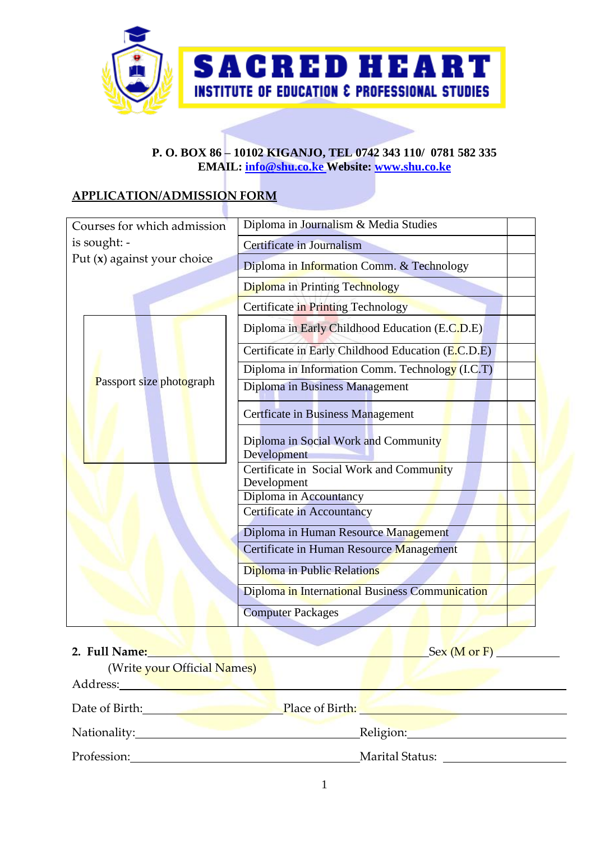

### **P. O. BOX 86 – 10102 KIGANJO, TEL 0742 343 110/ 0781 582 335 EMAIL: [info@shu.co.ke](mailto:info@shu.co.ke) Website: [www.shu.co.ke](http://www.shu.co.ke/)**

## **APPLICATION/ADMISSION FORM**

| Courses for which admission | Diploma in Journalism & Media Studies                   |  |
|-----------------------------|---------------------------------------------------------|--|
| is sought: -                | <b>Certificate in Journalism</b>                        |  |
| Put (x) against your choice | Diploma in Information Comm. & Technology               |  |
|                             | <b>Diploma</b> in Printing Technology                   |  |
|                             | Certificate in Printing Technology                      |  |
|                             | Diploma in Early Childhood Education (E.C.D.E)          |  |
|                             | Certificate in Early Childhood Education (E.C.D.E)      |  |
|                             | Diploma in Information Comm. Technology (I.C.T)         |  |
| Passport size photograph    | Diploma in Business Management                          |  |
|                             | <b>Certficate in Business Management</b>                |  |
|                             | Diploma in Social Work and Community<br>Development     |  |
|                             | Certificate in Social Work and Community<br>Development |  |
|                             | Diploma in Accountancy                                  |  |
|                             | <b>Certificate in Accountancy</b>                       |  |
|                             | Diploma in Human Resource Management                    |  |
|                             | Certificate in Human Resource Management                |  |
|                             | Diploma in Public Relations                             |  |
|                             | Diploma in International Business Communication         |  |
|                             | <b>Computer Packages</b>                                |  |

| 2. Full Name:               |                 | Sex (M or F) |
|-----------------------------|-----------------|--------------|
| (Write your Official Names) |                 |              |
| Address:                    |                 |              |
| Date of Birth:              | Place of Birth: |              |
| Nationality:                | Religion:       |              |
| Profession:                 | Marital Status: |              |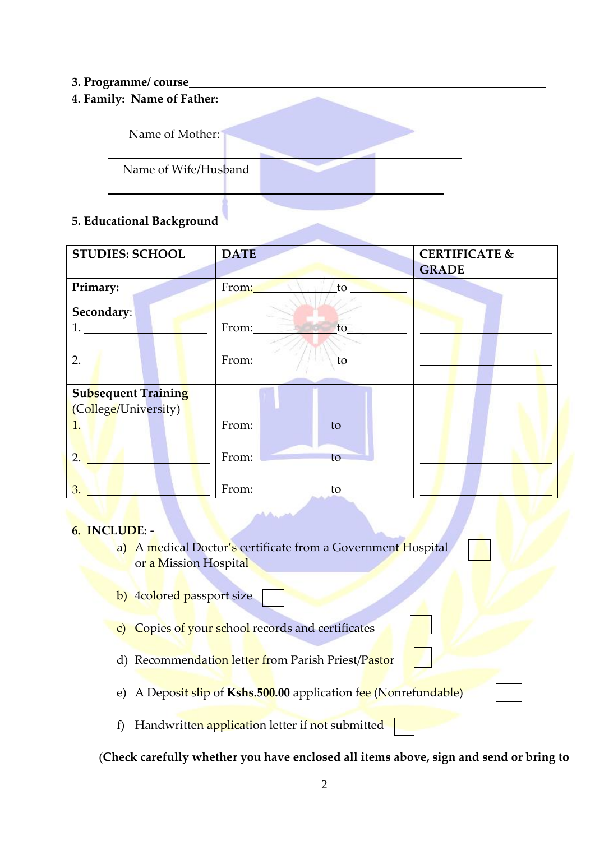### **3. Programme/ course**

**4. Family: Name of Father:**



## **5. Educational Background**

| <b>STUDIES: SCHOOL</b>     | <b>DATE</b>              | <b>CERTIFICATE &amp;</b><br><b>GRADE</b> |
|----------------------------|--------------------------|------------------------------------------|
| Primary:                   | From: N<br>$\mathbf{to}$ |                                          |
| Secondary:                 |                          |                                          |
| 1.                         | From:<br>to              |                                          |
| 2.                         | From:<br>to              |                                          |
| <b>Subsequent Training</b> |                          |                                          |
| (College/University)       |                          |                                          |
| $1.$ $\blacksquare$        | From:<br>to              |                                          |
| 2.                         | From:<br>to              |                                          |
| 3.                         | From:<br>to              |                                          |

#### **6. INCLUDE: -**

- a) A medical Doctor's certificate from a Government Hospital or a Mission Hospital
- b) 4colored passport size
- c) Copies of your school records and certificates
- d) Recommendation letter from Parish Priest/Pastor
- e) A Deposit slip of **Kshs.500.00** application fee (Nonrefundable)
- f) Handwritten application letter if not submitted

(**Check carefully whether you have enclosed all items above, sign and send or bring to**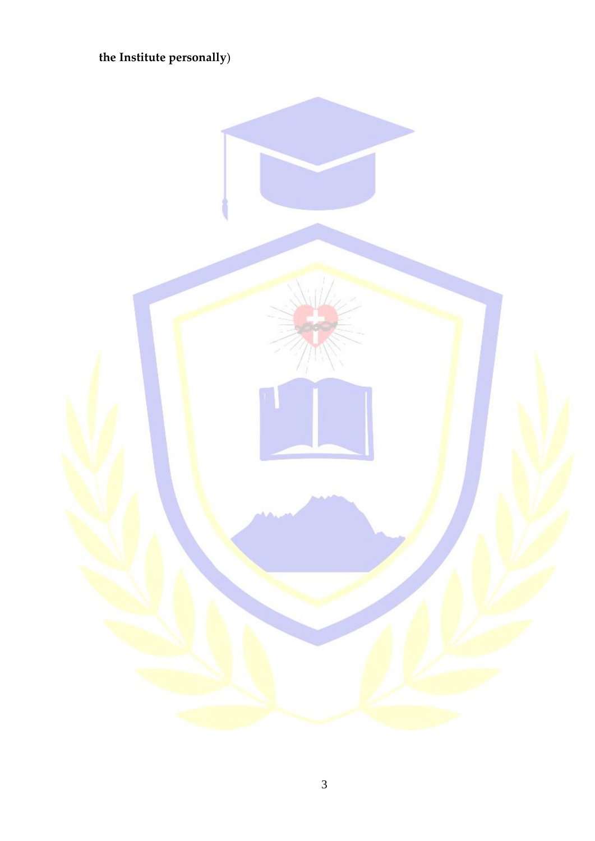# the Institute personally)